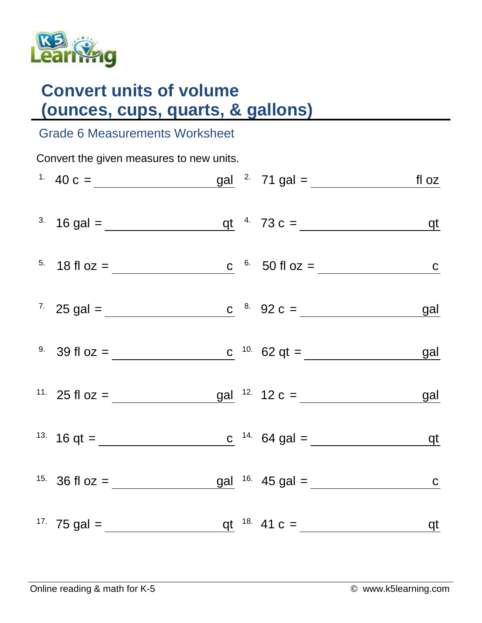

## **Convert units of volume (ounces, cups, quarts, & gallons)**

## Grade 6 Measurements Worksheet

Convert the given measures to new units. <sup>1.</sup> 40 c =  $\underline{\qquad \qquad}$  gal <sup>2.</sup> 71 gal =  $\underline{\qquad \qquad}$  fl oz 3. 16 gal =  $q t$  4. 73 c =  $q t$  $5. \quad 18 \text{ fl oz} =$  c  $6. \quad 50 \text{ fl oz} =$  c 7. 25 gal = c  $c^{8.}$  92 c =  $q$  $9. \quad 39 \text{ fl oz} =$ c  $10.62$  qt = <u>qual</u> 11. 25 fl oz =  $\frac{gal}{2}$  12 c =  $\frac{gal}{2}$  12 c =  $\frac{gal}{2}$ <sup>13.</sup> 16 qt = c  $14.64$  gal = qt <sup>15.</sup> 36 fl oz =  $\underline{\hspace{1cm}}$   $\underline{\hspace{1cm}}$  gal  $16.$  45 gal =  $\underline{\hspace{1cm}}$   $\underline{\hspace{1cm}}$  c 17. 75 gal = qt 18. 41 c = qt